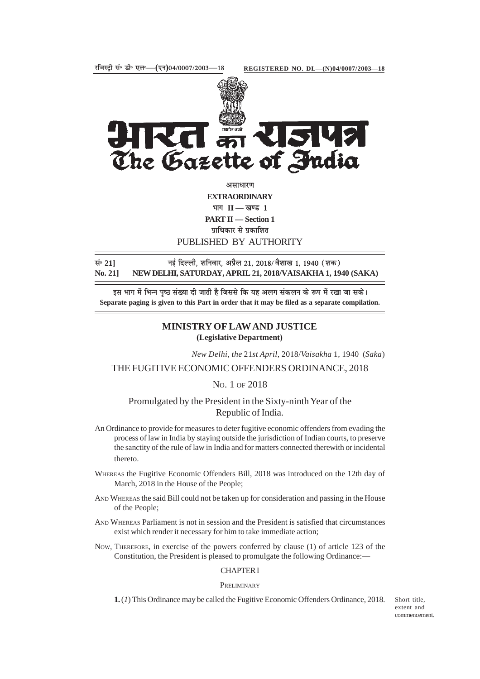

असाधारण **EXTRAORDINARY**  $\mathbf{H} = \mathbf{I}$  **II** — खण्ड 1 **PART II — Section 1 प्राधिकार से प्रकाशित** PUBLISHED BY AUTHORITY

**lañ 21] ubZ fnYyh] 'kfuokj] vizSy 21] 2018@oS'kk[k 1] 1940 ¼'kd½** NEW DELHI, SATURDAY, APRIL 21, 2018/VAISAKHA 1, 1940 (SAKA)

इस भाग में भिन्न पृष्ठ संख्या दी जाती है जिससे कि यह अलग संकलन के रूप में रखा जा सके। **Separate paging is given to this Part in order that it may be filed as a separate compilation.**

### **MINISTRY OF LAW AND JUSTICE (Legislative Department)**

*New Delhi, the* 21*st April,* 2018/*Vaisakha* 1*,* 1940 (*Saka*)

### THE FUGITIVE ECONOMIC OFFENDERS ORDINANCE, 2018

## NO. 1 OF 2018

# Promulgated by the President in the Sixty-ninth Year of the Republic of India.

- An Ordinance to provide for measures to deter fugitive economic offenders from evading the process of law in India by staying outside the jurisdiction of Indian courts, to preserve the sanctity of the rule of law in India and for matters connected therewith or incidental thereto.
- WHEREAS the Fugitive Economic Offenders Bill, 2018 was introduced on the 12th day of March, 2018 in the House of the People;
- AND WHEREAS the said Bill could not be taken up for consideration and passing in the House of the People;
- AND WHEREAS Parliament is not in session and the President is satisfied that circumstances exist which render it necessary for him to take immediate action;
- NOW, THEREFORE, in exercise of the powers conferred by clause (1) of article 123 of the Constitution, the President is pleased to promulgate the following Ordinance:—

### CHAPTER I

### PRELIMINARY

**1.** (*1*) This Ordinance may be called the Fugitive Economic Offenders Ordinance, 2018. Short title,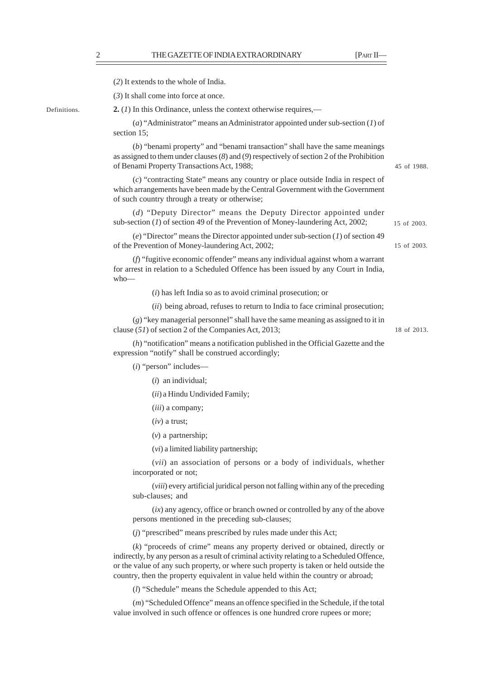Definitions.

(*2*) It extends to the whole of India.

(*3*) It shall come into force at once.

**2.** (*1*) In this Ordinance, unless the context otherwise requires,––

(*a*) "Administrator" means an Administrator appointed under sub-section (*1*) of section 15;

(*b*) "benami property" and "benami transaction" shall have the same meanings as assigned to them under clauses (*8*) and (*9*) respectively of section 2 of the Prohibition of Benami Property Transactions Act, 1988;

(*c*) "contracting State" means any country or place outside India in respect of which arrangements have been made by the Central Government with the Government of such country through a treaty or otherwise;

(*d*) "Deputy Director" means the Deputy Director appointed under sub-section (*1*) of section 49 of the Prevention of Money-laundering Act, 2002;

(*e*) "Director" means the Director appointed under sub-section (*1*) of section 49 of the Prevention of Money-laundering Act, 2002;

(*f*) "fugitive economic offender" means any individual against whom a warrant for arrest in relation to a Scheduled Offence has been issued by any Court in India, who—

(*i*) has left India so as to avoid criminal prosecution; or

(*ii*) being abroad, refuses to return to India to face criminal prosecution;

(*g*) "key managerial personnel" shall have the same meaning as assigned to it in clause (*51*) of section 2 of the Companies Act, 2013;

18 of 2013.

(*h*) "notification" means a notification published in the Official Gazette and the expression "notify" shall be construed accordingly;

(*i*) "person" includes—

(*i*) an individual;

(*ii*) a Hindu Undivided Family;

- (*iii*) a company;
- (*iv*) a trust;
- (*v*) a partnership;
- (*vi*) a limited liability partnership;

(*vii*) an association of persons or a body of individuals, whether incorporated or not;

(*viii*) every artificial juridical person not falling within any of the preceding sub-clauses; and

(*ix*) any agency, office or branch owned or controlled by any of the above persons mentioned in the preceding sub-clauses;

(*j*) "prescribed" means prescribed by rules made under this Act;

(*k*) "proceeds of crime" means any property derived or obtained, directly or indirectly, by any person as a result of criminal activity relating to a Scheduled Offence, or the value of any such property, or where such property is taken or held outside the country, then the property equivalent in value held within the country or abroad;

(*l*) "Schedule" means the Schedule appended to this Act;

(*m*) "Scheduled Offence" means an offence specified in the Schedule, if the total value involved in such offence or offences is one hundred crore rupees or more;

45 of 1988.

15 of 2003.

15 of 2003.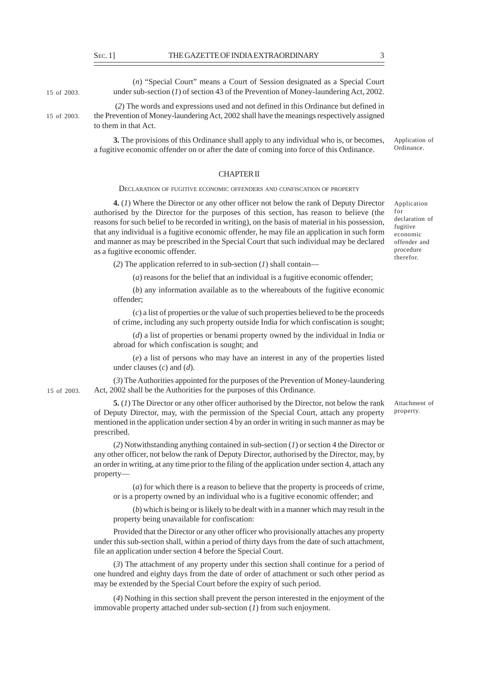15 of 2003.

15 of 2003.

(*n*) "Special Court" means a Court of Session designated as a Special Court under sub-section (*1*) of section 43 of the Prevention of Money-laundering Act, 2002.

 (*2*) The words and expressions used and not defined in this Ordinance but defined in the Prevention of Money-laundering Act, 2002 shall have the meanings respectively assigned to them in that Act.

**3.** The provisions of this Ordinance shall apply to any individual who is, or becomes, a fugitive economic offender on or after the date of coming into force of this Ordinance. Application of Ordinance.

#### CHAPTER II

DECLARATION OF FUGITIVE ECONOMIC OFFENDERS AND CONFISCATION OF PROPERTY

**4.** (*1*) Where the Director or any other officer not below the rank of Deputy Director authorised by the Director for the purposes of this section, has reason to believe (the reasons for such belief to be recorded in writing), on the basis of material in his possession, that any individual is a fugitive economic offender, he may file an application in such form and manner as may be prescribed in the Special Court that such individual may be declared as a fugitive economic offender.

Application for declaration of fugitive economic offender and procedure therefor.

(*2*) The application referred to in sub-section (*1*) shall contain—

(*a*) reasons for the belief that an individual is a fugitive economic offender;

(*b*) any information available as to the whereabouts of the fugitive economic offender;

(*c*) a list of properties or the value of such properties believed to be the proceeds of crime, including any such property outside India for which confiscation is sought;

(*d*) a list of properties or benami property owned by the individual in India or abroad for which confiscation is sought; and

(*e*) a list of persons who may have an interest in any of the properties listed under clauses (*c*) and (*d*).

(*3*) The Authorities appointed for the purposes of the Prevention of Money-laundering Act, 2002 shall be the Authorities for the purposes of this Ordinance.

**5.** (*1*) The Director or any other officer authorised by the Director, not below the rank of Deputy Director, may, with the permission of the Special Court, attach any property mentioned in the application under section 4 by an order in writing in such manner as may be prescribed.

(*2*) Notwithstanding anything contained in sub-section (*1*) or section 4 the Director or any other officer, not below the rank of Deputy Director, authorised by the Director, may, by an order in writing, at any time prior to the filing of the application under section 4, attach any property—

(*a*) for which there is a reason to believe that the property is proceeds of crime, or is a property owned by an individual who is a fugitive economic offender; and

(*b*) which is being or is likely to be dealt with in a manner which may result in the property being unavailable for confiscation:

Provided that the Director or any other officer who provisionally attaches any property under this sub-section shall, within a period of thirty days from the date of such attachment, file an application under section 4 before the Special Court.

(*3*) The attachment of any property under this section shall continue for a period of one hundred and eighty days from the date of order of attachment or such other period as may be extended by the Special Court before the expiry of such period.

(*4*) Nothing in this section shall prevent the person interested in the enjoyment of the immovable property attached under sub-section (*1*) from such enjoyment.

15 of 2003.

Attachment of property.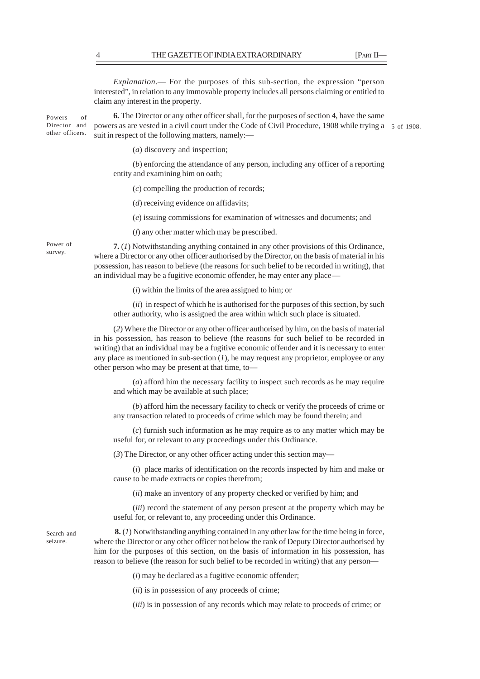*Explanation*.— For the purposes of this sub-section, the expression "person interested", in relation to any immovable property includes all persons claiming or entitled to claim any interest in the property.

Powers of Director and other officers.

**6.** The Director or any other officer shall, for the purposes of section 4, have the same powers as are vested in a civil court under the Code of Civil Procedure, 1908 while trying a 5 of 1908. suit in respect of the following matters, namely:—

(*a*) discovery and inspection;

(*b*) enforcing the attendance of any person, including any officer of a reporting entity and examining him on oath;

(*c*) compelling the production of records;

(*d*) receiving evidence on affidavits;

(*e*) issuing commissions for examination of witnesses and documents; and

(*f*) any other matter which may be prescribed.

Power of survey.

**7.** (*1*) Notwithstanding anything contained in any other provisions of this Ordinance, where a Director or any other officer authorised by the Director, on the basis of material in his possession, has reason to believe (the reasons for such belief to be recorded in writing), that an individual may be a fugitive economic offender, he may enter any place—

(*i*) within the limits of the area assigned to him; or

(*ii*) in respect of which he is authorised for the purposes of this section, by such other authority, who is assigned the area within which such place is situated.

(*2*) Where the Director or any other officer authorised by him, on the basis of material in his possession, has reason to believe (the reasons for such belief to be recorded in writing) that an individual may be a fugitive economic offender and it is necessary to enter any place as mentioned in sub-section (*1*), he may request any proprietor, employee or any other person who may be present at that time, to—

(*a*) afford him the necessary facility to inspect such records as he may require and which may be available at such place;

(*b*) afford him the necessary facility to check or verify the proceeds of crime or any transaction related to proceeds of crime which may be found therein; and

(*c*) furnish such information as he may require as to any matter which may be useful for, or relevant to any proceedings under this Ordinance.

(*3*) The Director, or any other officer acting under this section may—

(*i*) place marks of identification on the records inspected by him and make or cause to be made extracts or copies therefrom;

(*ii*) make an inventory of any property checked or verified by him; and

(*iii*) record the statement of any person present at the property which may be useful for, or relevant to, any proceeding under this Ordinance.

Search and seizure.

 **8.** (*1*) Notwithstanding anything contained in any other law for the time being in force, where the Director or any other officer not below the rank of Deputy Director authorised by him for the purposes of this section, on the basis of information in his possession, has reason to believe (the reason for such belief to be recorded in writing) that any person—

(*i*) may be declared as a fugitive economic offender;

(*ii*) is in possession of any proceeds of crime;

(*iii*) is in possession of any records which may relate to proceeds of crime; or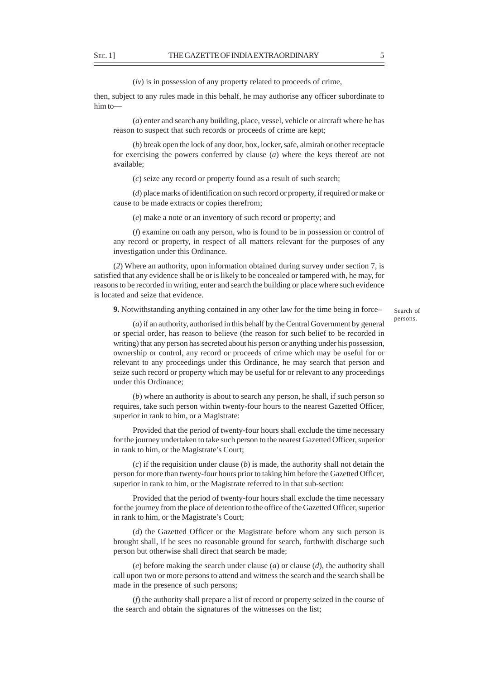(*iv*) is in possession of any property related to proceeds of crime,

then, subject to any rules made in this behalf, he may authorise any officer subordinate to him to—

(*a*) enter and search any building, place, vessel, vehicle or aircraft where he has reason to suspect that such records or proceeds of crime are kept;

(*b*) break open the lock of any door, box, locker, safe, almirah or other receptacle for exercising the powers conferred by clause (*a*) where the keys thereof are not available;

(*c*) seize any record or property found as a result of such search;

(*d*) place marks of identification on such record or property, if required or make or cause to be made extracts or copies therefrom;

(*e*) make a note or an inventory of such record or property; and

(*f*) examine on oath any person, who is found to be in possession or control of any record or property, in respect of all matters relevant for the purposes of any investigation under this Ordinance.

(*2*) Where an authority, upon information obtained during survey under section 7, is satisfied that any evidence shall be or is likely to be concealed or tampered with, he may, for reasons to be recorded in writing, enter and search the building or place where such evidence is located and seize that evidence.

**9.** Notwithstanding anything contained in any other law for the time being in force–

Search of persons.

(*a*) if an authority, authorised in this behalf by the Central Government by general or special order, has reason to believe (the reason for such belief to be recorded in writing) that any person has secreted about his person or anything under his possession, ownership or control, any record or proceeds of crime which may be useful for or relevant to any proceedings under this Ordinance, he may search that person and seize such record or property which may be useful for or relevant to any proceedings under this Ordinance;

(*b*) where an authority is about to search any person, he shall, if such person so requires, take such person within twenty-four hours to the nearest Gazetted Officer, superior in rank to him, or a Magistrate:

Provided that the period of twenty-four hours shall exclude the time necessary for the journey undertaken to take such person to the nearest Gazetted Officer, superior in rank to him, or the Magistrate's Court;

(*c*) if the requisition under clause (*b*) is made, the authority shall not detain the person for more than twenty-four hours prior to taking him before the Gazetted Officer, superior in rank to him, or the Magistrate referred to in that sub-section:

Provided that the period of twenty-four hours shall exclude the time necessary for the journey from the place of detention to the office of the Gazetted Officer, superior in rank to him, or the Magistrate's Court;

(*d*) the Gazetted Officer or the Magistrate before whom any such person is brought shall, if he sees no reasonable ground for search, forthwith discharge such person but otherwise shall direct that search be made;

(*e*) before making the search under clause (*a*) or clause (*d*), the authority shall call upon two or more persons to attend and witness the search and the search shall be made in the presence of such persons;

(*f*) the authority shall prepare a list of record or property seized in the course of the search and obtain the signatures of the witnesses on the list;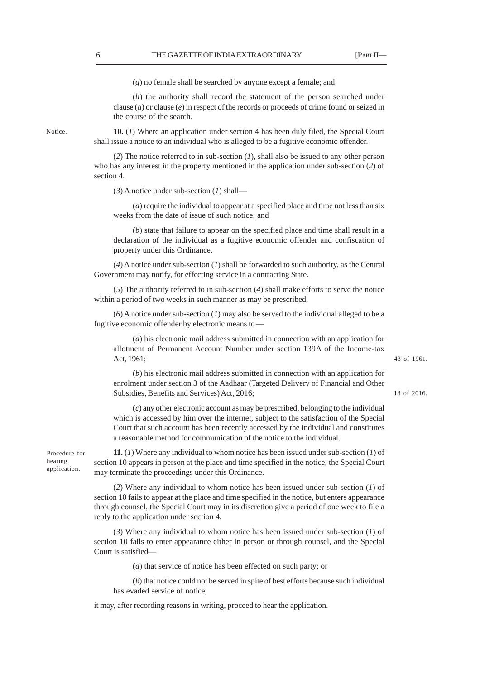Notice.

(*g*) no female shall be searched by anyone except a female; and

(*h*) the authority shall record the statement of the person searched under clause (*a*) or clause (*e*) in respect of the records or proceeds of crime found or seized in the course of the search.

**10.** (*1*) Where an application under section 4 has been duly filed, the Special Court shall issue a notice to an individual who is alleged to be a fugitive economic offender.

(*2*) The notice referred to in sub-section (*1*), shall also be issued to any other person who has any interest in the property mentioned in the application under sub-section (*2*) of section 4.

(*3*) A notice under sub-section (*1*) shall—

(*a*) require the individual to appear at a specified place and time not less than six weeks from the date of issue of such notice; and

(*b*) state that failure to appear on the specified place and time shall result in a declaration of the individual as a fugitive economic offender and confiscation of property under this Ordinance.

(*4*) A notice under sub-section (*1*) shall be forwarded to such authority, as the Central Government may notify, for effecting service in a contracting State.

(*5*) The authority referred to in sub-section (*4*) shall make efforts to serve the notice within a period of two weeks in such manner as may be prescribed.

(*6*) A notice under sub-section (*1*) may also be served to the individual alleged to be a fugitive economic offender by electronic means to—

(*a*) his electronic mail address submitted in connection with an application for allotment of Permanent Account Number under section 139A of the Income-tax Act, 1961;

(*b*) his electronic mail address submitted in connection with an application for enrolment under section 3 of the Aadhaar (Targeted Delivery of Financial and Other Subsidies, Benefits and Services) Act, 2016;

(*c*) any other electronic account as may be prescribed, belonging to the individual which is accessed by him over the internet, subject to the satisfaction of the Special Court that such account has been recently accessed by the individual and constitutes a reasonable method for communication of the notice to the individual.

Procedure for hearing application.

**11.** (*1*) Where any individual to whom notice has been issued under sub-section (*1*) of section 10 appears in person at the place and time specified in the notice, the Special Court may terminate the proceedings under this Ordinance.

(*2*) Where any individual to whom notice has been issued under sub-section (*1*) of section 10 fails to appear at the place and time specified in the notice, but enters appearance through counsel, the Special Court may in its discretion give a period of one week to file a reply to the application under section 4.

(*3*) Where any individual to whom notice has been issued under sub-section (*1*) of section 10 fails to enter appearance either in person or through counsel, and the Special Court is satisfied—

(*a*) that service of notice has been effected on such party; or

(*b*) that notice could not be served in spite of best efforts because such individual has evaded service of notice,

it may, after recording reasons in writing, proceed to hear the application.

43 of 1961.

18 of 2016.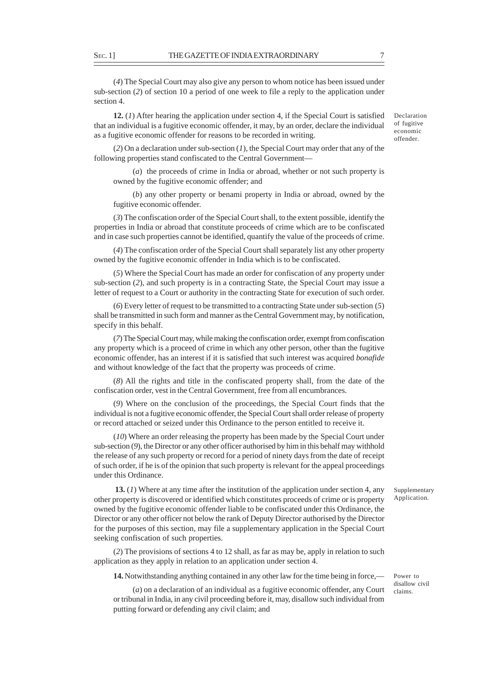(*4*) The Special Court may also give any person to whom notice has been issued under sub-section (*2*) of section 10 a period of one week to file a reply to the application under section 4.

**12.** (*1*) After hearing the application under section 4, if the Special Court is satisfied that an individual is a fugitive economic offender, it may, by an order, declare the individual as a fugitive economic offender for reasons to be recorded in writing.

Declaration of fugitive economic offender.

(*2*) On a declaration under sub-section (*1*), the Special Court may order that any of the following properties stand confiscated to the Central Government—

(*a*) the proceeds of crime in India or abroad, whether or not such property is owned by the fugitive economic offender; and

(*b*) any other property or benami property in India or abroad, owned by the fugitive economic offender.

(*3*) The confiscation order of the Special Court shall, to the extent possible, identify the properties in India or abroad that constitute proceeds of crime which are to be confiscated and in case such properties cannot be identified, quantify the value of the proceeds of crime.

(*4*) The confiscation order of the Special Court shall separately list any other property owned by the fugitive economic offender in India which is to be confiscated.

(*5*) Where the Special Court has made an order for confiscation of any property under sub-section (*2*), and such property is in a contracting State, the Special Court may issue a letter of request to a Court or authority in the contracting State for execution of such order.

(*6*) Every letter of request to be transmitted to a contracting State under sub-section (*5*) shall be transmitted in such form and manner as the Central Government may, by notification, specify in this behalf.

(*7*) The Special Court may, while making the confiscation order, exempt from confiscation any property which is a proceed of crime in which any other person, other than the fugitive economic offender, has an interest if it is satisfied that such interest was acquired *bonafide* and without knowledge of the fact that the property was proceeds of crime.

(*8*) All the rights and title in the confiscated property shall, from the date of the confiscation order, vest in the Central Government, free from all encumbrances.

(*9*) Where on the conclusion of the proceedings, the Special Court finds that the individual is not a fugitive economic offender, the Special Court shall order release of property or record attached or seized under this Ordinance to the person entitled to receive it.

(*10*) Where an order releasing the property has been made by the Special Court under sub-section (*9*), the Director or any other officer authorised by him in this behalf may withhold the release of any such property or record for a period of ninety days from the date of receipt of such order, if he is of the opinion that such property is relevant for the appeal proceedings under this Ordinance.

**13.** (*1*) Where at any time after the institution of the application under section 4, any other property is discovered or identified which constitutes proceeds of crime or is property owned by the fugitive economic offender liable to be confiscated under this Ordinance, the Director or any other officer not below the rank of Deputy Director authorised by the Director for the purposes of this section, may file a supplementary application in the Special Court seeking confiscation of such properties.

(*2*) The provisions of sections 4 to 12 shall, as far as may be, apply in relation to such application as they apply in relation to an application under section 4.

**14.** Notwithstanding anything contained in any other law for the time being in force,—

(*a*) on a declaration of an individual as a fugitive economic offender, any Court or tribunal in India, in any civil proceeding before it, may, disallow such individual from putting forward or defending any civil claim; and

Supplementary Application.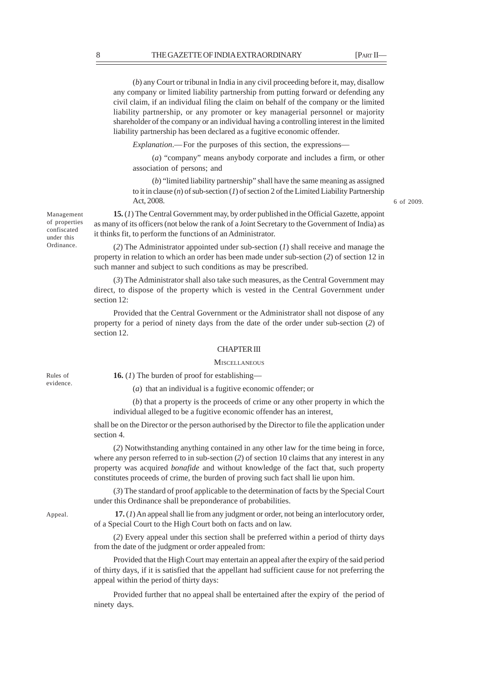(*b*) any Court or tribunal in India in any civil proceeding before it, may, disallow any company or limited liability partnership from putting forward or defending any civil claim, if an individual filing the claim on behalf of the company or the limited liability partnership, or any promoter or key managerial personnel or majority shareholder of the company or an individual having a controlling interest in the limited liability partnership has been declared as a fugitive economic offender.

*Explanation*.— For the purposes of this section, the expressions—

(*a*) "company" means anybody corporate and includes a firm, or other association of persons; and

(*b*) "limited liability partnership" shall have the same meaning as assigned to it in clause (*n*) of sub-section (*1*) of section 2 of the Limited Liability Partnership Act, 2008.

6 of 2009.

**15.** (*1*) The Central Government may, by order published in the Official Gazette, appoint as many of its officers (not below the rank of a Joint Secretary to the Government of India) as it thinks fit, to perform the functions of an Administrator.

(*2*) The Administrator appointed under sub-section (*1*) shall receive and manage the property in relation to which an order has been made under sub-section (*2*) of section 12 in such manner and subject to such conditions as may be prescribed.

(*3*) The Administrator shall also take such measures, as the Central Government may direct, to dispose of the property which is vested in the Central Government under section 12:

Provided that the Central Government or the Administrator shall not dispose of any property for a period of ninety days from the date of the order under sub-section (*2*) of section 12.

#### CHAPTER III

#### **MISCELLANEOUS**

Rules of evidence. **16.** (*1*) The burden of proof for establishing—

(*a*) that an individual is a fugitive economic offender; or

(*b*) that a property is the proceeds of crime or any other property in which the individual alleged to be a fugitive economic offender has an interest,

shall be on the Director or the person authorised by the Director to file the application under section 4.

(*2*) Notwithstanding anything contained in any other law for the time being in force, where any person referred to in sub-section (2) of section 10 claims that any interest in any property was acquired *bonafide* and without knowledge of the fact that, such property constitutes proceeds of crime, the burden of proving such fact shall lie upon him.

(*3*) The standard of proof applicable to the determination of facts by the Special Court under this Ordinance shall be preponderance of probabilities.

Appeal.

 **17.** (*1*) An appeal shall lie from any judgment or order, not being an interlocutory order, of a Special Court to the High Court both on facts and on law.

(*2*) Every appeal under this section shall be preferred within a period of thirty days from the date of the judgment or order appealed from:

Provided that the High Court may entertain an appeal after the expiry of the said period of thirty days, if it is satisfied that the appellant had sufficient cause for not preferring the appeal within the period of thirty days:

Provided further that no appeal shall be entertained after the expiry of the period of ninety days.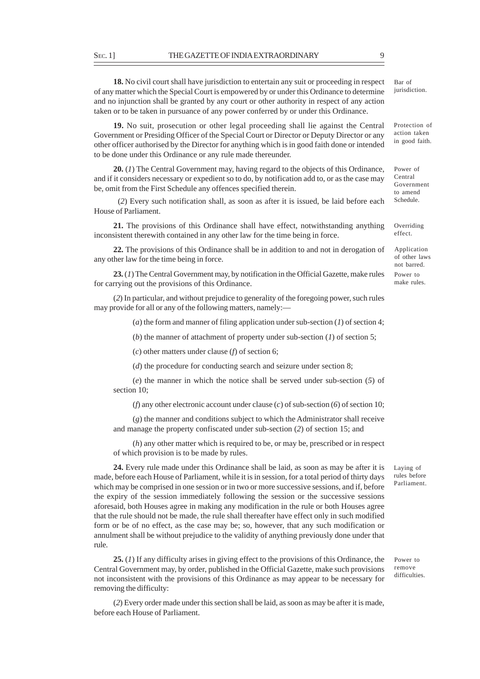**18.** No civil court shall have jurisdiction to entertain any suit or proceeding in respect of any matter which the Special Court is empowered by or under this Ordinance to determine and no injunction shall be granted by any court or other authority in respect of any action taken or to be taken in pursuance of any power conferred by or under this Ordinance.

**19.** No suit, prosecution or other legal proceeding shall lie against the Central Government or Presiding Officer of the Special Court or Director or Deputy Director or any other officer authorised by the Director for anything which is in good faith done or intended to be done under this Ordinance or any rule made thereunder.

**20.** (*1*) The Central Government may, having regard to the objects of this Ordinance, and if it considers necessary or expedient so to do, by notification add to, or as the case may be, omit from the First Schedule any offences specified therein.

 (*2*) Every such notification shall, as soon as after it is issued, be laid before each House of Parliament.

**21.** The provisions of this Ordinance shall have effect, notwithstanding anything inconsistent therewith contained in any other law for the time being in force.

**22.** The provisions of this Ordinance shall be in addition to and not in derogation of any other law for the time being in force.

**23.** (*1*) The Central Government may, by notification in the Official Gazette, make rules for carrying out the provisions of this Ordinance.

(*2*) In particular, and without prejudice to generality of the foregoing power, such rules may provide for all or any of the following matters, namely:—

(*a*) the form and manner of filing application under sub-section (*1*) of section 4;

(*b*) the manner of attachment of property under sub-section (*1*) of section 5;

(*c*) other matters under clause (*f*) of section 6;

(*d*) the procedure for conducting search and seizure under section 8;

(*e*) the manner in which the notice shall be served under sub-section (*5*) of section 10;

(*f*) any other electronic account under clause (*c*) of sub-section (*6*) of section 10;

(*g*) the manner and conditions subject to which the Administrator shall receive and manage the property confiscated under sub-section (*2*) of section 15; and

(*h*) any other matter which is required to be, or may be, prescribed or in respect of which provision is to be made by rules.

**24.** Every rule made under this Ordinance shall be laid, as soon as may be after it is made, before each House of Parliament, while it is in session, for a total period of thirty days which may be comprised in one session or in two or more successive sessions, and if, before the expiry of the session immediately following the session or the successive sessions aforesaid, both Houses agree in making any modification in the rule or both Houses agree that the rule should not be made, the rule shall thereafter have effect only in such modified form or be of no effect, as the case may be; so, however, that any such modification or annulment shall be without prejudice to the validity of anything previously done under that rule.

**25.** (*1*) If any difficulty arises in giving effect to the provisions of this Ordinance, the Central Government may, by order, published in the Official Gazette, make such provisions not inconsistent with the provisions of this Ordinance as may appear to be necessary for removing the difficulty:

(*2*) Every order made under this section shall be laid, as soon as may be after it is made, before each House of Parliament.

jurisdiction.

Protection of action taken in good faith.

Power of Central Government to amend Schedule.

Overriding effect.

Application of other laws not barred. Power to make rules.

Power to remove difficulties.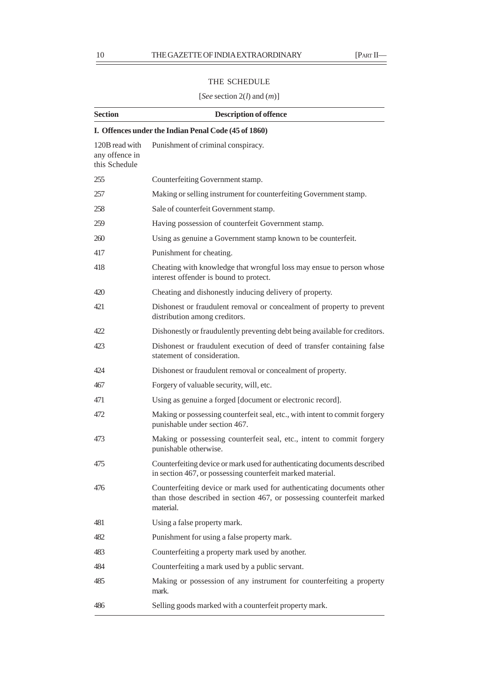# THE SCHEDULE

### [*See* section 2(*l*) and (*m*)]

| <b>Section</b>                                       | <b>Description of offence</b>                                                                                                                               |  |
|------------------------------------------------------|-------------------------------------------------------------------------------------------------------------------------------------------------------------|--|
| I. Offences under the Indian Penal Code (45 of 1860) |                                                                                                                                                             |  |
| 120B read with<br>any offence in<br>this Schedule    | Punishment of criminal conspiracy.                                                                                                                          |  |
| 255                                                  | Counterfeiting Government stamp.                                                                                                                            |  |
| 257                                                  | Making or selling instrument for counterfeiting Government stamp.                                                                                           |  |
| 258                                                  | Sale of counterfeit Government stamp.                                                                                                                       |  |
| 259                                                  | Having possession of counterfeit Government stamp.                                                                                                          |  |
| 260                                                  | Using as genuine a Government stamp known to be counterfeit.                                                                                                |  |
| 417                                                  | Punishment for cheating.                                                                                                                                    |  |
| 418                                                  | Cheating with knowledge that wrongful loss may ensue to person whose<br>interest offender is bound to protect.                                              |  |
| 420                                                  | Cheating and dishonestly inducing delivery of property.                                                                                                     |  |
| 421                                                  | Dishonest or fraudulent removal or concealment of property to prevent<br>distribution among creditors.                                                      |  |
| 422                                                  | Dishonestly or fraudulently preventing debt being available for creditors.                                                                                  |  |
| 423                                                  | Dishonest or fraudulent execution of deed of transfer containing false<br>statement of consideration.                                                       |  |
| 424                                                  | Dishonest or fraudulent removal or concealment of property.                                                                                                 |  |
| 467                                                  | Forgery of valuable security, will, etc.                                                                                                                    |  |
| 471                                                  | Using as genuine a forged [document or electronic record].                                                                                                  |  |
| 472                                                  | Making or possessing counterfeit seal, etc., with intent to commit forgery<br>punishable under section 467.                                                 |  |
| 473                                                  | Making or possessing counterfeit seal, etc., intent to commit forgery<br>punishable otherwise.                                                              |  |
| 475                                                  | Counterfeiting device or mark used for authenticating documents described<br>in section 467, or possessing counterfeit marked material.                     |  |
| 476                                                  | Counterfeiting device or mark used for authenticating documents other<br>than those described in section 467, or possessing counterfeit marked<br>material. |  |
| 481                                                  | Using a false property mark.                                                                                                                                |  |
| 482                                                  | Punishment for using a false property mark.                                                                                                                 |  |
| 483                                                  | Counterfeiting a property mark used by another.                                                                                                             |  |
| 484                                                  | Counterfeiting a mark used by a public servant.                                                                                                             |  |
| 485                                                  | Making or possession of any instrument for counterfeiting a property<br>mark.                                                                               |  |
| 486                                                  | Selling goods marked with a counterfeit property mark.                                                                                                      |  |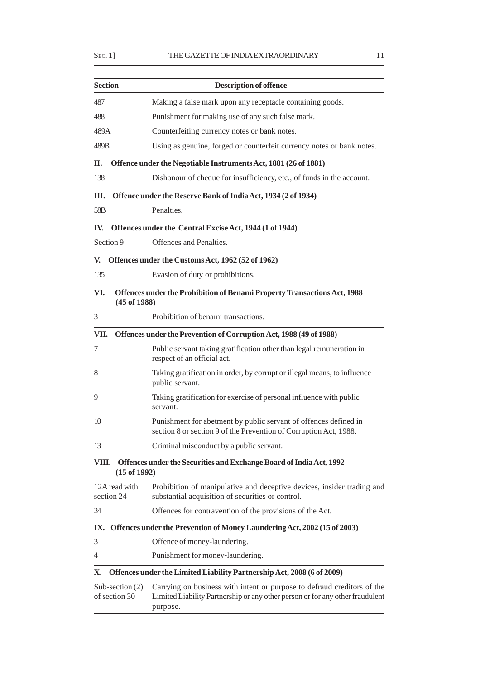$\equiv$ 

| <b>Section</b>                                                                                    | <b>Description of offence</b>                                                                                                                            |  |
|---------------------------------------------------------------------------------------------------|----------------------------------------------------------------------------------------------------------------------------------------------------------|--|
| 487                                                                                               | Making a false mark upon any receptacle containing goods.                                                                                                |  |
| 488                                                                                               | Punishment for making use of any such false mark.                                                                                                        |  |
| 489A                                                                                              | Counterfeiting currency notes or bank notes.                                                                                                             |  |
| 489B                                                                                              | Using as genuine, forged or counterfeit currency notes or bank notes.                                                                                    |  |
| Offence under the Negotiable Instruments Act, 1881 (26 of 1881)<br>П.                             |                                                                                                                                                          |  |
| 138                                                                                               | Dishonour of cheque for insufficiency, etc., of funds in the account.                                                                                    |  |
| Ш.                                                                                                | Offence under the Reserve Bank of India Act, 1934 (2 of 1934)                                                                                            |  |
| 58 <sub>B</sub>                                                                                   | Penalties.                                                                                                                                               |  |
| IV.                                                                                               | Offences under the Central Excise Act, 1944 (1 of 1944)                                                                                                  |  |
| Section 9                                                                                         | Offences and Penalties.                                                                                                                                  |  |
| V.                                                                                                | Offences under the Customs Act, 1962 (52 of 1962)                                                                                                        |  |
| 135                                                                                               | Evasion of duty or prohibitions.                                                                                                                         |  |
| VI.<br>Offences under the Prohibition of Benami Property Transactions Act, 1988<br>$(45$ of 1988) |                                                                                                                                                          |  |
| 3                                                                                                 | Prohibition of benami transactions.                                                                                                                      |  |
| VII.                                                                                              | Offences under the Prevention of Corruption Act, 1988 (49 of 1988)                                                                                       |  |
| 7                                                                                                 | Public servant taking gratification other than legal remuneration in<br>respect of an official act.                                                      |  |
| 8                                                                                                 | Taking gratification in order, by corrupt or illegal means, to influence<br>public servant.                                                              |  |
| 9                                                                                                 | Taking gratification for exercise of personal influence with public<br>servant.                                                                          |  |
| 10                                                                                                | Punishment for abetment by public servant of offences defined in<br>section 8 or section 9 of the Prevention of Corruption Act, 1988.                    |  |
| 13                                                                                                | Criminal misconduct by a public servant.                                                                                                                 |  |
| Offences under the Securities and Exchange Board of India Act, 1992<br>VIII.<br>$(15$ of $1992)$  |                                                                                                                                                          |  |
| 12A read with<br>section 24                                                                       | Prohibition of manipulative and deceptive devices, insider trading and<br>substantial acquisition of securities or control.                              |  |
| 24                                                                                                | Offences for contravention of the provisions of the Act.                                                                                                 |  |
|                                                                                                   | IX. Offences under the Prevention of Money Laundering Act, 2002 (15 of 2003)                                                                             |  |
| 3                                                                                                 | Offence of money-laundering.                                                                                                                             |  |
| 4                                                                                                 | Punishment for money-laundering.                                                                                                                         |  |
| Х.                                                                                                | Offences under the Limited Liability Partnership Act, 2008 (6 of 2009)                                                                                   |  |
| Sub-section $(2)$<br>of section 30                                                                | Carrying on business with intent or purpose to defraud creditors of the<br>Limited Liability Partnership or any other person or for any other fraudulent |  |

purpose.